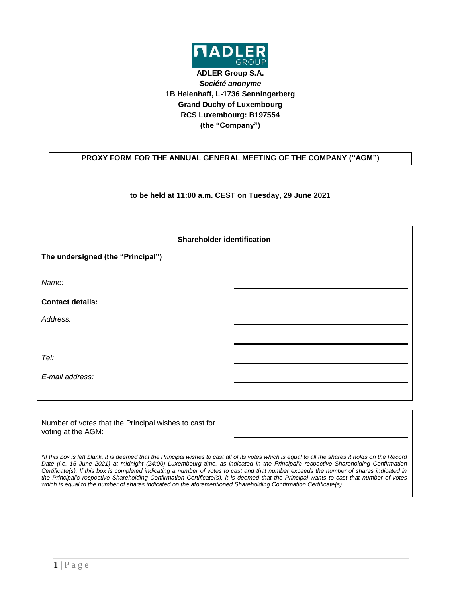

**ADLER Group S.A.** *Société anonyme* **1B Heienhaff, L-1736 Senningerberg Grand Duchy of Luxembourg RCS Luxembourg: B197554 (the "Company")**

## **PROXY FORM FOR THE ANNUAL GENERAL MEETING OF THE COMPANY ("AGM")**

**to be held at 11:00 a.m. CEST on Tuesday, 29 June 2021**

| <b>Shareholder identification</b> |  |  |  |  |
|-----------------------------------|--|--|--|--|
| The undersigned (the "Principal") |  |  |  |  |
| Name:                             |  |  |  |  |
| <b>Contact details:</b>           |  |  |  |  |
| Address:                          |  |  |  |  |
|                                   |  |  |  |  |
| Tel:                              |  |  |  |  |
| E-mail address:                   |  |  |  |  |
|                                   |  |  |  |  |

Number of votes that the Principal wishes to cast for voting at the AGM:

*\*If this box is left blank, it is deemed that the Principal wishes to cast all of its votes which is equal to all the shares it holds on the Record Date (i.e. 15 June 2021) at midnight (24:00) Luxembourg time, as indicated in the Principal's respective Shareholding Confirmation Certificate(s). If this box is completed indicating a number of votes to cast and that number exceeds the number of shares indicated in the Principal's respective Shareholding Confirmation Certificate(s), it is deemed that the Principal wants to cast that number of votes which is equal to the number of shares indicated on the aforementioned Shareholding Confirmation Certificate(s).*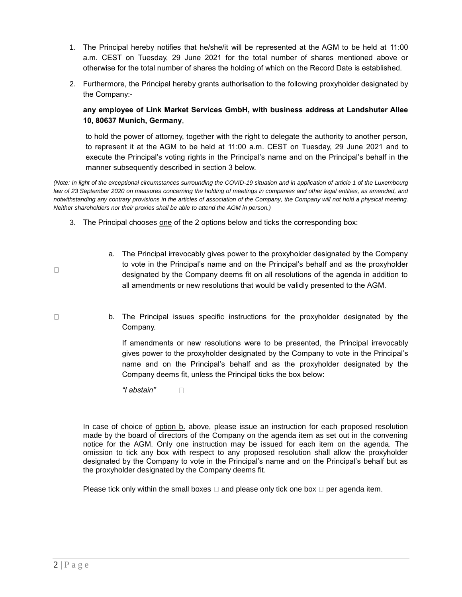- 1. The Principal hereby notifies that he/she/it will be represented at the AGM to be held at 11:00 a.m. CEST on Tuesday, 29 June 2021 for the total number of shares mentioned above or otherwise for the total number of shares the holding of which on the Record Date is established.
- 2. Furthermore, the Principal hereby grants authorisation to the following proxyholder designated by the Company:-

## **any employee of Link Market Services GmbH, with business address at Landshuter Allee 10, 80637 Munich, Germany**,

to hold the power of attorney, together with the right to delegate the authority to another person, to represent it at the AGM to be held at 11:00 a.m. CEST on Tuesday, 29 June 2021 and to execute the Principal's voting rights in the Principal's name and on the Principal's behalf in the manner subsequently described in section 3 below.

*(Note: In light of the exceptional circumstances surrounding the COVID-19 situation and in application of article 1 of the Luxembourg*  law of 23 September 2020 on measures concerning the holding of meetings in companies and other legal entities, as amended, and *notwithstanding any contrary provisions in the articles of association of the Company, the Company will not hold a physical meeting. Neither shareholders nor their proxies shall be able to attend the AGM in person.)*

- 3. The Principal chooses one of the 2 options below and ticks the corresponding box:
	- a. The Principal irrevocably gives power to the proxyholder designated by the Company to vote in the Principal's name and on the Principal's behalf and as the proxyholder designated by the Company deems fit on all resolutions of the agenda in addition to all amendments or new resolutions that would be validly presented to the AGM.
	- b. The Principal issues specific instructions for the proxyholder designated by the Company.

If amendments or new resolutions were to be presented, the Principal irrevocably gives power to the proxyholder designated by the Company to vote in the Principal's name and on the Principal's behalf and as the proxyholder designated by the Company deems fit, unless the Principal ticks the box below:

*"I abstain"*   $\Box$ 

In case of choice of option b. above, please issue an instruction for each proposed resolution made by the board of directors of the Company on the agenda item as set out in the convening notice for the AGM. Only one instruction may be issued for each item on the agenda. The omission to tick any box with respect to any proposed resolution shall allow the proxyholder designated by the Company to vote in the Principal's name and on the Principal's behalf but as the proxyholder designated by the Company deems fit.

Please tick only within the small boxes  $\Box$  and please only tick one box  $\Box$  per agenda item.

 $\Box$ 

 $\Box$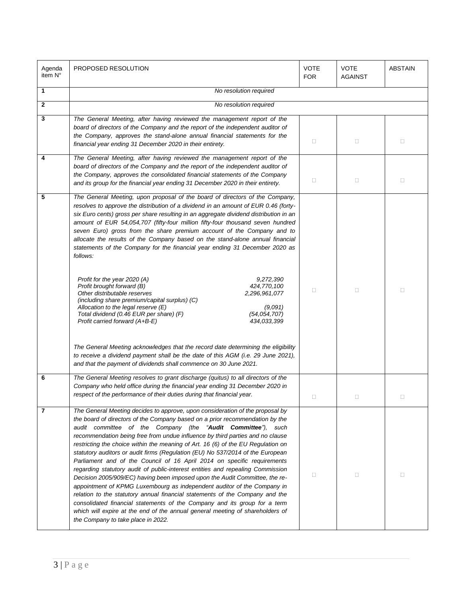| Agenda<br>item N° | PROPOSED RESOLUTION                                                                                                                                                                                                                                                                                                                                                                                                                                                                                                                                                                                                                                                                                                                                                                                                                                                                                                                                                                                                                                                                                                                                                                                            | VOTE<br><b>FOR</b> | <b>VOTE</b><br><b>AGAINST</b> | <b>ABSTAIN</b> |
|-------------------|----------------------------------------------------------------------------------------------------------------------------------------------------------------------------------------------------------------------------------------------------------------------------------------------------------------------------------------------------------------------------------------------------------------------------------------------------------------------------------------------------------------------------------------------------------------------------------------------------------------------------------------------------------------------------------------------------------------------------------------------------------------------------------------------------------------------------------------------------------------------------------------------------------------------------------------------------------------------------------------------------------------------------------------------------------------------------------------------------------------------------------------------------------------------------------------------------------------|--------------------|-------------------------------|----------------|
| 1                 | No resolution required                                                                                                                                                                                                                                                                                                                                                                                                                                                                                                                                                                                                                                                                                                                                                                                                                                                                                                                                                                                                                                                                                                                                                                                         |                    |                               |                |
| $\mathbf{2}$      | No resolution required                                                                                                                                                                                                                                                                                                                                                                                                                                                                                                                                                                                                                                                                                                                                                                                                                                                                                                                                                                                                                                                                                                                                                                                         |                    |                               |                |
| 3                 | The General Meeting, after having reviewed the management report of the<br>board of directors of the Company and the report of the independent auditor of<br>the Company, approves the stand-alone annual financial statements for the<br>financial year ending 31 December 2020 in their entirety.                                                                                                                                                                                                                                                                                                                                                                                                                                                                                                                                                                                                                                                                                                                                                                                                                                                                                                            | $\Box$             | $\Box$                        | $\Box$         |
| 4                 | The General Meeting, after having reviewed the management report of the<br>board of directors of the Company and the report of the independent auditor of<br>the Company, approves the consolidated financial statements of the Company<br>and its group for the financial year ending 31 December 2020 in their entirety.                                                                                                                                                                                                                                                                                                                                                                                                                                                                                                                                                                                                                                                                                                                                                                                                                                                                                     | $\Box$             | $\Box$                        | $\Box$         |
| 5                 | The General Meeting, upon proposal of the board of directors of the Company,<br>resolves to approve the distribution of a dividend in an amount of EUR 0.46 (forty-<br>six Euro cents) gross per share resulting in an aggregate dividend distribution in an<br>amount of EUR 54,054,707 (fifty-four million fifty-four thousand seven hundred<br>seven Euro) gross from the share premium account of the Company and to<br>allocate the results of the Company based on the stand-alone annual financial<br>statements of the Company for the financial year ending 31 December 2020 as<br>follows:<br>Profit for the year 2020 (A)<br>9,272,390<br>Profit brought forward (B)<br>424,770,100<br>Other distributable reserves<br>2,296,961,077<br>(including share premium/capital surplus) (C)<br>Allocation to the legal reserve (E)<br>(9,091)<br>Total dividend (0.46 EUR per share) (F)<br>(54, 054, 707)<br>Profit carried forward (A+B-E)<br>434,033,399<br>The General Meeting acknowledges that the record date determining the eligibility<br>to receive a dividend payment shall be the date of this AGM (i.e. 29 June 2021),<br>and that the payment of dividends shall commence on 30 June 2021. | O                  | $\Box$                        | $\Box$         |
| 6                 | The General Meeting resolves to grant discharge (quitus) to all directors of the<br>Company who held office during the financial year ending 31 December 2020 in<br>respect of the performance of their duties during that financial year.                                                                                                                                                                                                                                                                                                                                                                                                                                                                                                                                                                                                                                                                                                                                                                                                                                                                                                                                                                     | $\Box$             | $\Box$                        |                |
| 7                 | The General Meeting decides to approve, upon consideration of the proposal by<br>the board of directors of the Company based on a prior recommendation by the<br>audit committee of the Company (the "Audit Committee"), such<br>recommendation being free from undue influence by third parties and no clause<br>restricting the choice within the meaning of Art. 16 (6) of the EU Regulation on<br>statutory auditors or audit firms (Regulation (EU) No 537/2014 of the European<br>Parliament and of the Council of 16 April 2014 on specific requirements<br>regarding statutory audit of public-interest entities and repealing Commission<br>Decision 2005/909/EC) having been imposed upon the Audit Committee, the re-<br>appointment of KPMG Luxembourg as independent auditor of the Company in<br>relation to the statutory annual financial statements of the Company and the<br>consolidated financial statements of the Company and its group for a term<br>which will expire at the end of the annual general meeting of shareholders of<br>the Company to take place in 2022.                                                                                                                | $\Box$             | $\Box$                        | $\Box$         |